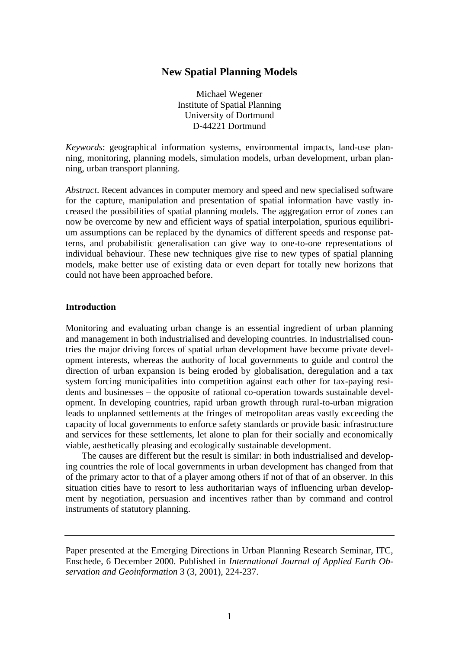# **New Spatial Planning Models**

Michael Wegener Institute of Spatial Planning University of Dortmund D-44221 Dortmund

*Keywords*: geographical information systems, environmental impacts, land-use planning, monitoring, planning models, simulation models, urban development, urban planning, urban transport planning.

*Abstract*. Recent advances in computer memory and speed and new specialised software for the capture, manipulation and presentation of spatial information have vastly increased the possibilities of spatial planning models. The aggregation error of zones can now be overcome by new and efficient ways of spatial interpolation, spurious equilibrium assumptions can be replaced by the dynamics of different speeds and response patterns, and probabilistic generalisation can give way to one-to-one representations of individual behaviour. These new techniques give rise to new types of spatial planning models, make better use of existing data or even depart for totally new horizons that could not have been approached before.

#### **Introduction**

Monitoring and evaluating urban change is an essential ingredient of urban planning and management in both industrialised and developing countries. In industrialised countries the major driving forces of spatial urban development have become private development interests, whereas the authority of local governments to guide and control the direction of urban expansion is being eroded by globalisation, deregulation and a tax system forcing municipalities into competition against each other for tax-paying residents and businesses – the opposite of rational co-operation towards sustainable development. In developing countries, rapid urban growth through rural-to-urban migration leads to unplanned settlements at the fringes of metropolitan areas vastly exceeding the capacity of local governments to enforce safety standards or provide basic infrastructure and services for these settlements, let alone to plan for their socially and economically viable, aesthetically pleasing and ecologically sustainable development.

The causes are different but the result is similar: in both industrialised and developing countries the role of local governments in urban development has changed from that of the primary actor to that of a player among others if not of that of an observer. In this situation cities have to resort to less authoritarian ways of influencing urban development by negotiation, persuasion and incentives rather than by command and control instruments of statutory planning.

Paper presented at the Emerging Directions in Urban Planning Research Seminar, ITC, Enschede, 6 December 2000. Published in *International Journal of Applied Earth Observation and Geoinformation* 3 (3, 2001), 224-237.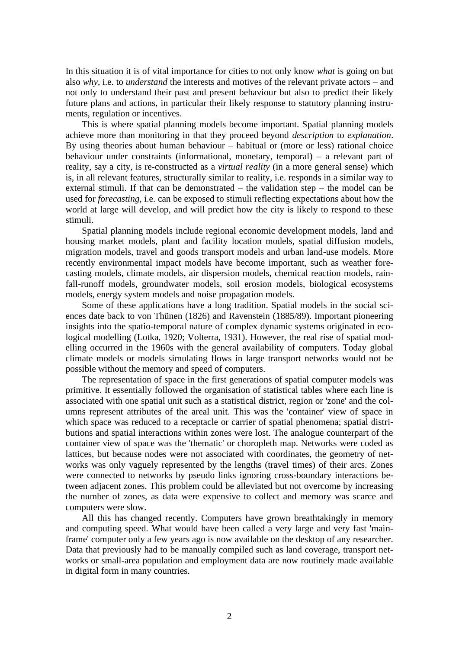In this situation it is of vital importance for cities to not only know *what* is going on but also *why*, i.e. to *understand* the interests and motives of the relevant private actors – and not only to understand their past and present behaviour but also to predict their likely future plans and actions, in particular their likely response to statutory planning instruments, regulation or incentives.

This is where spatial planning models become important. Spatial planning models achieve more than monitoring in that they proceed beyond *description* to *explanation*. By using theories about human behaviour – habitual or (more or less) rational choice behaviour under constraints (informational, monetary, temporal) – a relevant part of reality, say a city, is re-constructed as a *virtual reality* (in a more general sense) which is, in all relevant features, structurally similar to reality, i.e. responds in a similar way to external stimuli. If that can be demonstrated – the validation step – the model can be used for *forecasting*, i.e. can be exposed to stimuli reflecting expectations about how the world at large will develop, and will predict how the city is likely to respond to these stimuli.

Spatial planning models include regional economic development models, land and housing market models, plant and facility location models, spatial diffusion models, migration models, travel and goods transport models and urban land-use models. More recently environmental impact models have become important, such as weather forecasting models, climate models, air dispersion models, chemical reaction models, rainfall-runoff models, groundwater models, soil erosion models, biological ecosystems models, energy system models and noise propagation models.

Some of these applications have a long tradition. Spatial models in the social sciences date back to von Thünen (1826) and Ravenstein (1885/89). Important pioneering insights into the spatio-temporal nature of complex dynamic systems originated in ecological modelling (Lotka, 1920; Volterra, 1931). However, the real rise of spatial modelling occurred in the 1960s with the general availability of computers. Today global climate models or models simulating flows in large transport networks would not be possible without the memory and speed of computers.

The representation of space in the first generations of spatial computer models was primitive. It essentially followed the organisation of statistical tables where each line is associated with one spatial unit such as a statistical district, region or 'zone' and the columns represent attributes of the areal unit. This was the 'container' view of space in which space was reduced to a receptacle or carrier of spatial phenomena; spatial distributions and spatial interactions within zones were lost. The analogue counterpart of the container view of space was the 'thematic' or choropleth map. Networks were coded as lattices, but because nodes were not associated with coordinates, the geometry of networks was only vaguely represented by the lengths (travel times) of their arcs. Zones were connected to networks by pseudo links ignoring cross-boundary interactions between adjacent zones. This problem could be alleviated but not overcome by increasing the number of zones, as data were expensive to collect and memory was scarce and computers were slow.

All this has changed recently. Computers have grown breathtakingly in memory and computing speed. What would have been called a very large and very fast 'mainframe' computer only a few years ago is now available on the desktop of any researcher. Data that previously had to be manually compiled such as land coverage, transport networks or small-area population and employment data are now routinely made available in digital form in many countries.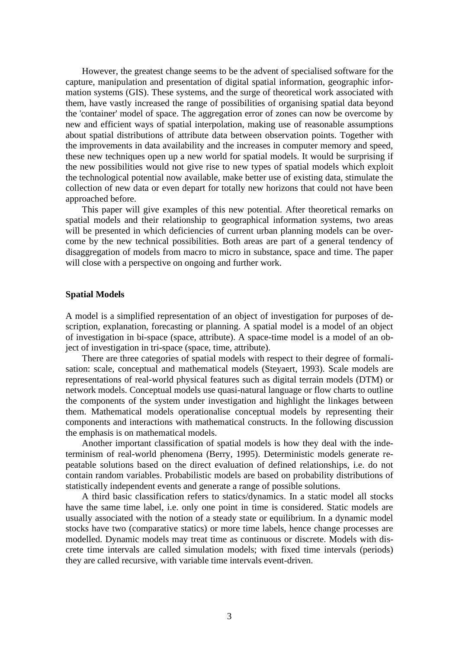However, the greatest change seems to be the advent of specialised software for the capture, manipulation and presentation of digital spatial information, geographic information systems (GIS). These systems, and the surge of theoretical work associated with them, have vastly increased the range of possibilities of organising spatial data beyond the 'container' model of space. The aggregation error of zones can now be overcome by new and efficient ways of spatial interpolation, making use of reasonable assumptions about spatial distributions of attribute data between observation points. Together with the improvements in data availability and the increases in computer memory and speed, these new techniques open up a new world for spatial models. It would be surprising if the new possibilities would not give rise to new types of spatial models which exploit the technological potential now available, make better use of existing data, stimulate the collection of new data or even depart for totally new horizons that could not have been approached before.

This paper will give examples of this new potential. After theoretical remarks on spatial models and their relationship to geographical information systems, two areas will be presented in which deficiencies of current urban planning models can be overcome by the new technical possibilities. Both areas are part of a general tendency of disaggregation of models from macro to micro in substance, space and time. The paper will close with a perspective on ongoing and further work.

#### **Spatial Models**

A model is a simplified representation of an object of investigation for purposes of description, explanation, forecasting or planning. A spatial model is a model of an object of investigation in bi-space (space, attribute). A space-time model is a model of an object of investigation in tri-space (space, time, attribute).

There are three categories of spatial models with respect to their degree of formalisation: scale, conceptual and mathematical models (Steyaert, 1993). Scale models are representations of real-world physical features such as digital terrain models (DTM) or network models. Conceptual models use quasi-natural language or flow charts to outline the components of the system under investigation and highlight the linkages between them. Mathematical models operationalise conceptual models by representing their components and interactions with mathematical constructs. In the following discussion the emphasis is on mathematical models.

Another important classification of spatial models is how they deal with the indeterminism of real-world phenomena (Berry, 1995). Deterministic models generate repeatable solutions based on the direct evaluation of defined relationships, i.e. do not contain random variables. Probabilistic models are based on probability distributions of statistically independent events and generate a range of possible solutions.

A third basic classification refers to statics/dynamics. In a static model all stocks have the same time label, i.e. only one point in time is considered. Static models are usually associated with the notion of a steady state or equilibrium. In a dynamic model stocks have two (comparative statics) or more time labels, hence change processes are modelled. Dynamic models may treat time as continuous or discrete. Models with discrete time intervals are called simulation models; with fixed time intervals (periods) they are called recursive, with variable time intervals event-driven.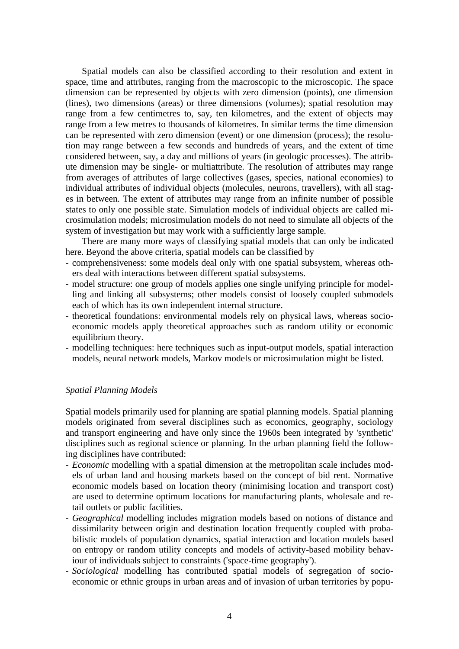Spatial models can also be classified according to their resolution and extent in space, time and attributes, ranging from the macroscopic to the microscopic. The space dimension can be represented by objects with zero dimension (points), one dimension (lines), two dimensions (areas) or three dimensions (volumes); spatial resolution may range from a few centimetres to, say, ten kilometres, and the extent of objects may range from a few metres to thousands of kilometres. In similar terms the time dimension can be represented with zero dimension (event) or one dimension (process); the resolution may range between a few seconds and hundreds of years, and the extent of time considered between, say, a day and millions of years (in geologic processes). The attribute dimension may be single- or multiattribute. The resolution of attributes may range from averages of attributes of large collectives (gases, species, national economies) to individual attributes of individual objects (molecules, neurons, travellers), with all stages in between. The extent of attributes may range from an infinite number of possible states to only one possible state. Simulation models of individual objects are called microsimulation models; microsimulation models do not need to simulate all objects of the system of investigation but may work with a sufficiently large sample.

There are many more ways of classifying spatial models that can only be indicated here. Beyond the above criteria, spatial models can be classified by

- comprehensiveness: some models deal only with one spatial subsystem, whereas others deal with interactions between different spatial subsystems.
- model structure: one group of models applies one single unifying principle for modelling and linking all subsystems; other models consist of loosely coupled submodels each of which has its own independent internal structure.
- theoretical foundations: environmental models rely on physical laws, whereas socioeconomic models apply theoretical approaches such as random utility or economic equilibrium theory.
- modelling techniques: here techniques such as input-output models, spatial interaction models, neural network models, Markov models or microsimulation might be listed.

# *Spatial Planning Models*

Spatial models primarily used for planning are spatial planning models. Spatial planning models originated from several disciplines such as economics, geography, sociology and transport engineering and have only since the 1960s been integrated by 'synthetic' disciplines such as regional science or planning. In the urban planning field the following disciplines have contributed:

- *Economic* modelling with a spatial dimension at the metropolitan scale includes models of urban land and housing markets based on the concept of bid rent. Normative economic models based on location theory (minimising location and transport cost) are used to determine optimum locations for manufacturing plants, wholesale and retail outlets or public facilities.
- *Geographical* modelling includes migration models based on notions of distance and dissimilarity between origin and destination location frequently coupled with probabilistic models of population dynamics, spatial interaction and location models based on entropy or random utility concepts and models of activity-based mobility behaviour of individuals subject to constraints ('space-time geography').
- *Sociological* modelling has contributed spatial models of segregation of socioeconomic or ethnic groups in urban areas and of invasion of urban territories by popu-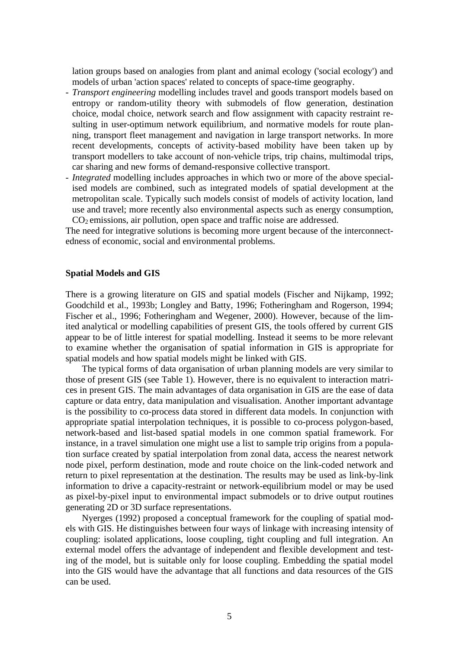lation groups based on analogies from plant and animal ecology ('social ecology') and models of urban 'action spaces' related to concepts of space-time geography.

- *Transport engineering* modelling includes travel and goods transport models based on entropy or random-utility theory with submodels of flow generation, destination choice, modal choice, network search and flow assignment with capacity restraint resulting in user-optimum network equilibrium, and normative models for route planning, transport fleet management and navigation in large transport networks. In more recent developments, concepts of activity-based mobility have been taken up by transport modellers to take account of non-vehicle trips, trip chains, multimodal trips, car sharing and new forms of demand-responsive collective transport.
- *Integrated* modelling includes approaches in which two or more of the above specialised models are combined, such as integrated models of spatial development at the metropolitan scale. Typically such models consist of models of activity location, land use and travel; more recently also environmental aspects such as energy consumption,  $CO<sub>2</sub>$  emissions, air pollution, open space and traffic noise are addressed.

The need for integrative solutions is becoming more urgent because of the interconnectedness of economic, social and environmental problems.

#### **Spatial Models and GIS**

There is a growing literature on GIS and spatial models (Fischer and Nijkamp, 1992; Goodchild et al., 1993b; Longley and Batty, 1996; Fotheringham and Rogerson, 1994; Fischer et al., 1996; Fotheringham and Wegener, 2000). However, because of the limited analytical or modelling capabilities of present GIS, the tools offered by current GIS appear to be of little interest for spatial modelling. Instead it seems to be more relevant to examine whether the organisation of spatial information in GIS is appropriate for spatial models and how spatial models might be linked with GIS.

The typical forms of data organisation of urban planning models are very similar to those of present GIS (see Table 1). However, there is no equivalent to interaction matrices in present GIS. The main advantages of data organisation in GIS are the ease of data capture or data entry, data manipulation and visualisation. Another important advantage is the possibility to co-process data stored in different data models. In conjunction with appropriate spatial interpolation techniques, it is possible to co-process polygon-based, network-based and list-based spatial models in one common spatial framework. For instance, in a travel simulation one might use a list to sample trip origins from a population surface created by spatial interpolation from zonal data, access the nearest network node pixel, perform destination, mode and route choice on the link-coded network and return to pixel representation at the destination. The results may be used as link-by-link information to drive a capacity-restraint or network-equilibrium model or may be used as pixel-by-pixel input to environmental impact submodels or to drive output routines generating 2D or 3D surface representations.

Nyerges (1992) proposed a conceptual framework for the coupling of spatial models with GIS. He distinguishes between four ways of linkage with increasing intensity of coupling: isolated applications, loose coupling, tight coupling and full integration. An external model offers the advantage of independent and flexible development and testing of the model, but is suitable only for loose coupling. Embedding the spatial model into the GIS would have the advantage that all functions and data resources of the GIS can be used.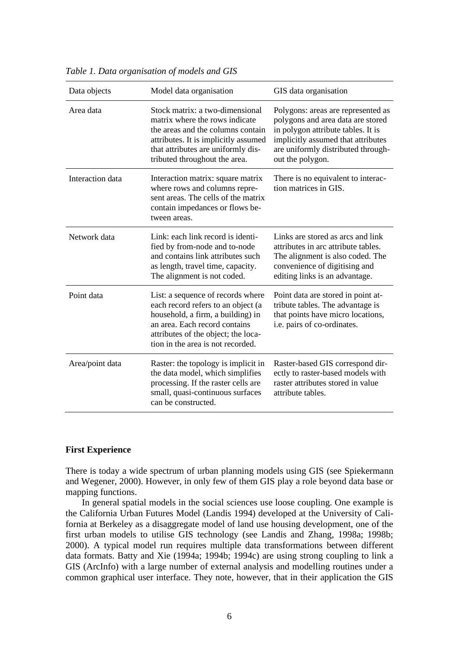| Data objects     | Model data organisation                                                                                                                                                                                                                                                                                                                                        | GIS data organisation                                                                                                                                                                                         |  |
|------------------|----------------------------------------------------------------------------------------------------------------------------------------------------------------------------------------------------------------------------------------------------------------------------------------------------------------------------------------------------------------|---------------------------------------------------------------------------------------------------------------------------------------------------------------------------------------------------------------|--|
| Area data        | Stock matrix: a two-dimensional<br>matrix where the rows indicate<br>the areas and the columns contain<br>attributes. It is implicitly assumed<br>that attributes are uniformly dis-<br>tributed throughout the area.                                                                                                                                          | Polygons: areas are represented as<br>polygons and area data are stored<br>in polygon attribute tables. It is<br>implicitly assumed that attributes<br>are uniformly distributed through-<br>out the polygon. |  |
| Interaction data | There is no equivalent to interac-<br>Interaction matrix: square matrix<br>where rows and columns repre-<br>tion matrices in GIS.<br>sent areas. The cells of the matrix<br>contain impedances or flows be-<br>tween areas.                                                                                                                                    |                                                                                                                                                                                                               |  |
| Network data     | Link: each link record is identi-<br>Links are stored as arcs and link<br>fied by from-node and to-node<br>attributes in arc attribute tables.<br>and contains link attributes such<br>The alignment is also coded. The<br>as length, travel time, capacity.<br>convenience of digitising and<br>The alignment is not coded.<br>editing links is an advantage. |                                                                                                                                                                                                               |  |
| Point data       | List: a sequence of records where<br>each record refers to an object (a<br>household, a firm, a building) in<br>an area. Each record contains<br>attributes of the object; the loca-<br>tion in the area is not recorded.                                                                                                                                      | Point data are stored in point at-<br>tribute tables. The advantage is<br>that points have micro locations,<br>i.e. pairs of co-ordinates.                                                                    |  |
| Area/point data  | Raster: the topology is implicit in<br>the data model, which simplifies<br>processing. If the raster cells are<br>small, quasi-continuous surfaces<br>can be constructed.                                                                                                                                                                                      | Raster-based GIS correspond dir-<br>ectly to raster-based models with<br>raster attributes stored in value<br>attribute tables.                                                                               |  |

*Table 1. Data organisation of models and GIS* 

# **First Experience**

There is today a wide spectrum of urban planning models using GIS (see Spiekermann and Wegener, 2000). However, in only few of them GIS play a role beyond data base or mapping functions.

In general spatial models in the social sciences use loose coupling. One example is the California Urban Futures Model (Landis 1994) developed at the University of California at Berkeley as a disaggregate model of land use housing development, one of the first urban models to utilise GIS technology (see Landis and Zhang, 1998a; 1998b; 2000). A typical model run requires multiple data transformations between different data formats. Batty and Xie (1994a; 1994b; 1994c) are using strong coupling to link a GIS (ArcInfo) with a large number of external analysis and modelling routines under a common graphical user interface. They note, however, that in their application the GIS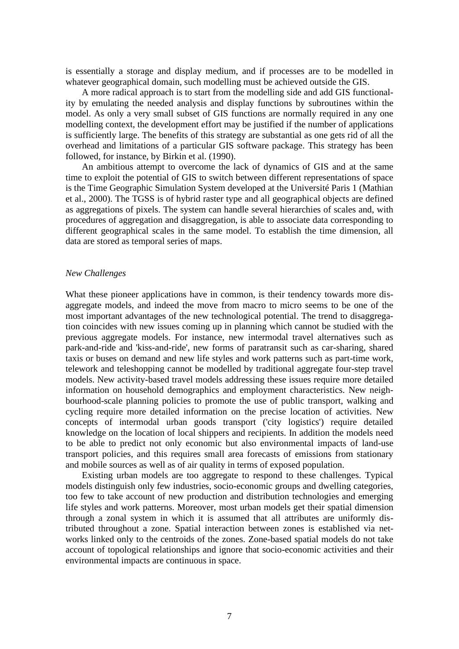is essentially a storage and display medium, and if processes are to be modelled in whatever geographical domain, such modelling must be achieved outside the GIS.

A more radical approach is to start from the modelling side and add GIS functionality by emulating the needed analysis and display functions by subroutines within the model. As only a very small subset of GIS functions are normally required in any one modelling context, the development effort may be justified if the number of applications is sufficiently large. The benefits of this strategy are substantial as one gets rid of all the overhead and limitations of a particular GIS software package. This strategy has been followed, for instance, by Birkin et al. (1990).

An ambitious attempt to overcome the lack of dynamics of GIS and at the same time to exploit the potential of GIS to switch between different representations of space is the Time Geographic Simulation System developed at the Université Paris 1 (Mathian et al., 2000). The TGSS is of hybrid raster type and all geographical objects are defined as aggregations of pixels. The system can handle several hierarchies of scales and, with procedures of aggregation and disaggregation, is able to associate data corresponding to different geographical scales in the same model. To establish the time dimension, all data are stored as temporal series of maps.

#### *New Challenges*

What these pioneer applications have in common, is their tendency towards more disaggregate models, and indeed the move from macro to micro seems to be one of the most important advantages of the new technological potential. The trend to disaggregation coincides with new issues coming up in planning which cannot be studied with the previous aggregate models. For instance, new intermodal travel alternatives such as park-and-ride and 'kiss-and-ride', new forms of paratransit such as car-sharing, shared taxis or buses on demand and new life styles and work patterns such as part-time work, telework and teleshopping cannot be modelled by traditional aggregate four-step travel models. New activity-based travel models addressing these issues require more detailed information on household demographics and employment characteristics. New neighbourhood-scale planning policies to promote the use of public transport, walking and cycling require more detailed information on the precise location of activities. New concepts of intermodal urban goods transport ('city logistics') require detailed knowledge on the location of local shippers and recipients. In addition the models need to be able to predict not only economic but also environmental impacts of land-use transport policies, and this requires small area forecasts of emissions from stationary and mobile sources as well as of air quality in terms of exposed population.

Existing urban models are too aggregate to respond to these challenges. Typical models distinguish only few industries, socio-economic groups and dwelling categories, too few to take account of new production and distribution technologies and emerging life styles and work patterns. Moreover, most urban models get their spatial dimension through a zonal system in which it is assumed that all attributes are uniformly distributed throughout a zone. Spatial interaction between zones is established via networks linked only to the centroids of the zones. Zone-based spatial models do not take account of topological relationships and ignore that socio-economic activities and their environmental impacts are continuous in space.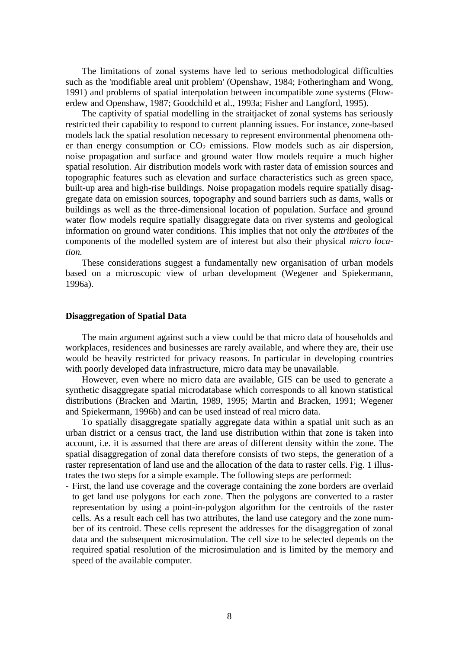The limitations of zonal systems have led to serious methodological difficulties such as the 'modifiable areal unit problem' (Openshaw, 1984; Fotheringham and Wong, 1991) and problems of spatial interpolation between incompatible zone systems (Flowerdew and Openshaw, 1987; Goodchild et al., 1993a; Fisher and Langford, 1995).

The captivity of spatial modelling in the straitjacket of zonal systems has seriously restricted their capability to respond to current planning issues. For instance, zone-based models lack the spatial resolution necessary to represent environmental phenomena other than energy consumption or  $CO<sub>2</sub>$  emissions. Flow models such as air dispersion, noise propagation and surface and ground water flow models require a much higher spatial resolution. Air distribution models work with raster data of emission sources and topographic features such as elevation and surface characteristics such as green space, built-up area and high-rise buildings. Noise propagation models require spatially disaggregate data on emission sources, topography and sound barriers such as dams, walls or buildings as well as the three-dimensional location of population. Surface and ground water flow models require spatially disaggregate data on river systems and geological information on ground water conditions. This implies that not only the *attributes* of the components of the modelled system are of interest but also their physical *micro location.* 

These considerations suggest a fundamentally new organisation of urban models based on a microscopic view of urban development (Wegener and Spiekermann, 1996a).

# **Disaggregation of Spatial Data**

The main argument against such a view could be that micro data of households and workplaces, residences and businesses are rarely available, and where they are, their use would be heavily restricted for privacy reasons. In particular in developing countries with poorly developed data infrastructure, micro data may be unavailable.

However, even where no micro data are available, GIS can be used to generate a synthetic disaggregate spatial microdatabase which corresponds to all known statistical distributions (Bracken and Martin, 1989, 1995; Martin and Bracken, 1991; Wegener and Spiekermann, 1996b) and can be used instead of real micro data.

To spatially disaggregate spatially aggregate data within a spatial unit such as an urban district or a census tract, the land use distribution within that zone is taken into account, i.e. it is assumed that there are areas of different density within the zone. The spatial disaggregation of zonal data therefore consists of two steps, the generation of a raster representation of land use and the allocation of the data to raster cells. Fig. 1 illustrates the two steps for a simple example. The following steps are performed:

- First, the land use coverage and the coverage containing the zone borders are overlaid to get land use polygons for each zone. Then the polygons are converted to a raster representation by using a point-in-polygon algorithm for the centroids of the raster cells. As a result each cell has two attributes, the land use category and the zone number of its centroid. These cells represent the addresses for the disaggregation of zonal data and the subsequent microsimulation. The cell size to be selected depends on the required spatial resolution of the microsimulation and is limited by the memory and speed of the available computer.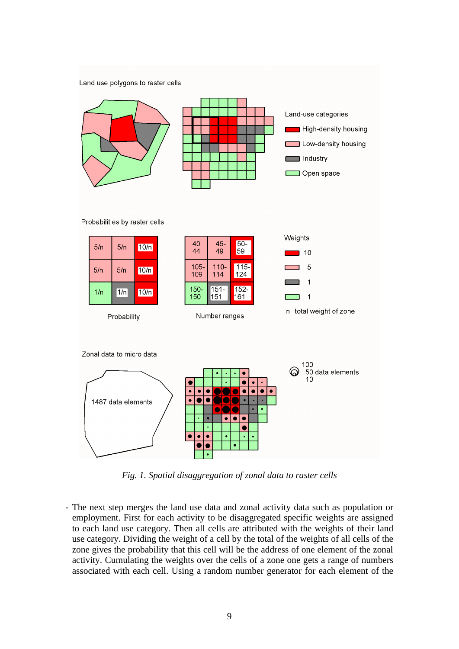

*Fig. 1. Spatial disaggregation of zonal data to raster cells*

- The next step merges the land use data and zonal activity data such as population or employment. First for each activity to be disaggregated specific weights are assigned to each land use category. Then all cells are attributed with the weights of their land use category. Dividing the weight of a cell by the total of the weights of all cells of the zone gives the probability that this cell will be the address of one element of the zonal activity. Cumulating the weights over the cells of a zone one gets a range of numbers associated with each cell. Using a random number generator for each element of the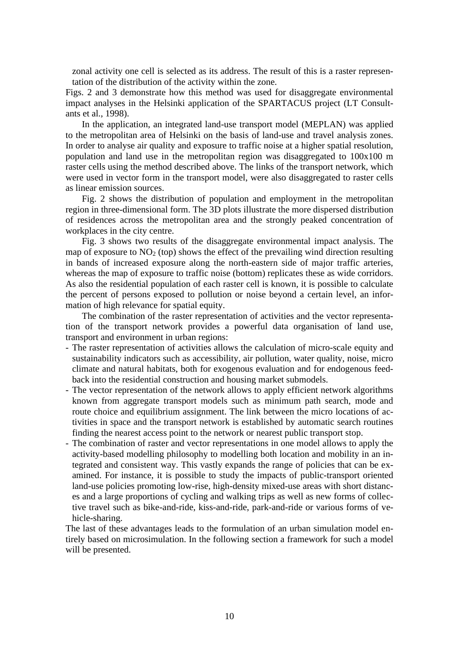zonal activity one cell is selected as its address. The result of this is a raster representation of the distribution of the activity within the zone.

Figs. 2 and 3 demonstrate how this method was used for disaggregate environmental impact analyses in the Helsinki application of the SPARTACUS project (LT Consultants et al., 1998).

In the application, an integrated land-use transport model (MEPLAN) was applied to the metropolitan area of Helsinki on the basis of land-use and travel analysis zones. In order to analyse air quality and exposure to traffic noise at a higher spatial resolution, population and land use in the metropolitan region was disaggregated to 100x100 m raster cells using the method described above. The links of the transport network, which were used in vector form in the transport model, were also disaggregated to raster cells as linear emission sources.

Fig. 2 shows the distribution of population and employment in the metropolitan region in three-dimensional form. The 3D plots illustrate the more dispersed distribution of residences across the metropolitan area and the strongly peaked concentration of workplaces in the city centre.

Fig. 3 shows two results of the disaggregate environmental impact analysis. The map of exposure to  $NO<sub>2</sub>$  (top) shows the effect of the prevailing wind direction resulting in bands of increased exposure along the north-eastern side of major traffic arteries, whereas the map of exposure to traffic noise (bottom) replicates these as wide corridors. As also the residential population of each raster cell is known, it is possible to calculate the percent of persons exposed to pollution or noise beyond a certain level, an information of high relevance for spatial equity.

The combination of the raster representation of activities and the vector representation of the transport network provides a powerful data organisation of land use, transport and environment in urban regions:

- The raster representation of activities allows the calculation of micro-scale equity and sustainability indicators such as accessibility, air pollution, water quality, noise, micro climate and natural habitats, both for exogenous evaluation and for endogenous feedback into the residential construction and housing market submodels.
- The vector representation of the network allows to apply efficient network algorithms known from aggregate transport models such as minimum path search, mode and route choice and equilibrium assignment. The link between the micro locations of activities in space and the transport network is established by automatic search routines finding the nearest access point to the network or nearest public transport stop.
- The combination of raster and vector representations in one model allows to apply the activity-based modelling philosophy to modelling both location and mobility in an integrated and consistent way. This vastly expands the range of policies that can be examined. For instance, it is possible to study the impacts of public-transport oriented land-use policies promoting low-rise, high-density mixed-use areas with short distances and a large proportions of cycling and walking trips as well as new forms of collective travel such as bike-and-ride, kiss-and-ride, park-and-ride or various forms of vehicle-sharing.

The last of these advantages leads to the formulation of an urban simulation model entirely based on microsimulation. In the following section a framework for such a model will be presented.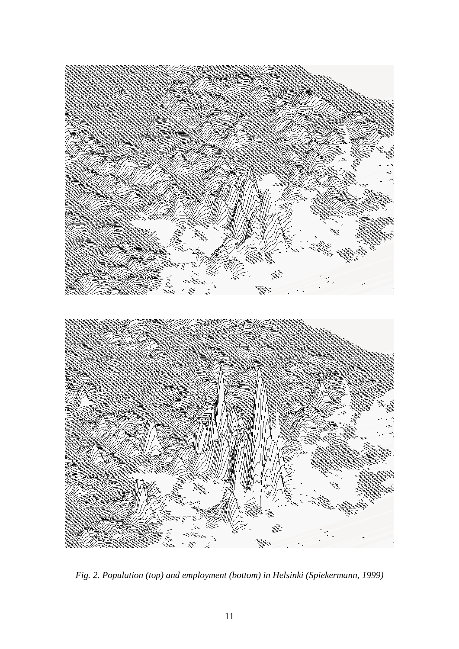

*Fig. 2. Population (top) and employment (bottom) in Helsinki (Spiekermann, 1999)*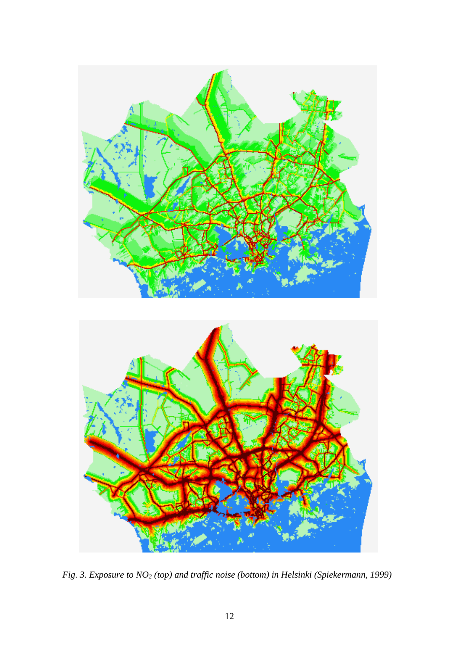

*Fig. 3. Exposure to NO<sup>2</sup> (top) and traffic noise (bottom) in Helsinki (Spiekermann, 1999)*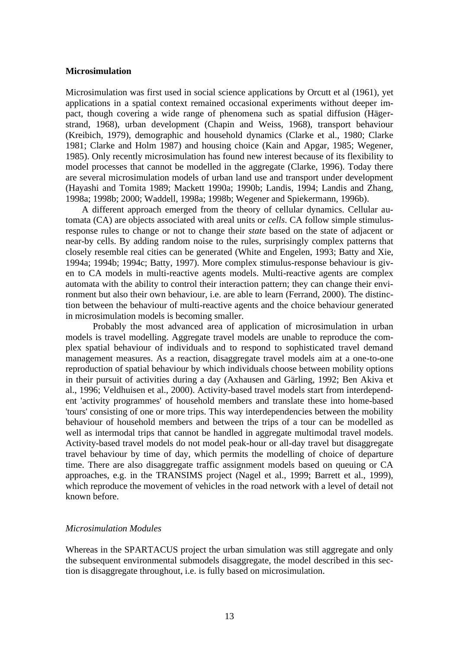# **Microsimulation**

Microsimulation was first used in social science applications by Orcutt et al (1961), yet applications in a spatial context remained occasional experiments without deeper impact, though covering a wide range of phenomena such as spatial diffusion (Hägerstrand, 1968), urban development (Chapin and Weiss, 1968), transport behaviour (Kreibich, 1979), demographic and household dynamics (Clarke et al., 1980; Clarke 1981; Clarke and Holm 1987) and housing choice (Kain and Apgar, 1985; Wegener, 1985). Only recently microsimulation has found new interest because of its flexibility to model processes that cannot be modelled in the aggregate (Clarke, 1996). Today there are several microsimulation models of urban land use and transport under development (Hayashi and Tomita 1989; Mackett 1990a; 1990b; Landis, 1994; Landis and Zhang, 1998a; 1998b; 2000; Waddell, 1998a; 1998b; Wegener and Spiekermann, 1996b).

A different approach emerged from the theory of cellular dynamics. Cellular automata (CA) are objects associated with areal units or *cells*. CA follow simple stimulusresponse rules to change or not to change their *state* based on the state of adjacent or near-by cells. By adding random noise to the rules, surprisingly complex patterns that closely resemble real cities can be generated (White and Engelen, 1993; Batty and Xie, 1994a; 1994b; 1994c; Batty, 1997). More complex stimulus-response behaviour is given to CA models in multi-reactive agents models. Multi-reactive agents are complex automata with the ability to control their interaction pattern; they can change their environment but also their own behaviour, i.e. are able to learn (Ferrand, 2000). The distinction between the behaviour of multi-reactive agents and the choice behaviour generated in microsimulation models is becoming smaller.

Probably the most advanced area of application of microsimulation in urban models is travel modelling. Aggregate travel models are unable to reproduce the complex spatial behaviour of individuals and to respond to sophisticated travel demand management measures. As a reaction, disaggregate travel models aim at a one-to-one reproduction of spatial behaviour by which individuals choose between mobility options in their pursuit of activities during a day (Axhausen and Gärling, 1992; Ben Akiva et al., 1996; Veldhuisen et al., 2000). Activity-based travel models start from interdependent 'activity programmes' of household members and translate these into home-based 'tours' consisting of one or more trips. This way interdependencies between the mobility behaviour of household members and between the trips of a tour can be modelled as well as intermodal trips that cannot be handled in aggregate multimodal travel models. Activity-based travel models do not model peak-hour or all-day travel but disaggregate travel behaviour by time of day, which permits the modelling of choice of departure time. There are also disaggregate traffic assignment models based on queuing or CA approaches, e.g. in the TRANSIMS project (Nagel et al., 1999; Barrett et al., 1999), which reproduce the movement of vehicles in the road network with a level of detail not known before.

# *Microsimulation Modules*

Whereas in the SPARTACUS project the urban simulation was still aggregate and only the subsequent environmental submodels disaggregate, the model described in this section is disaggregate throughout, i.e. is fully based on microsimulation.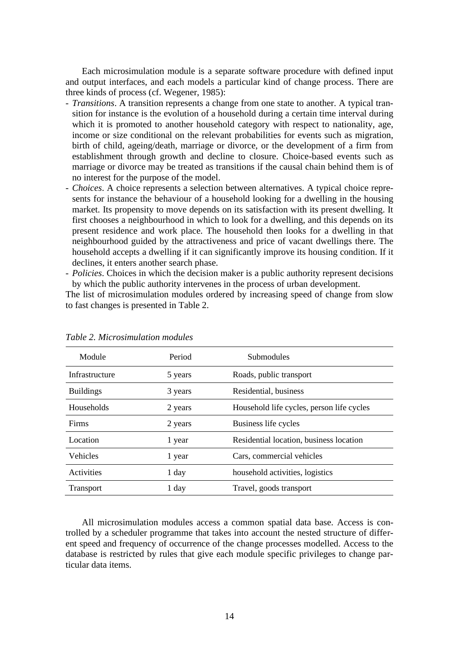Each microsimulation module is a separate software procedure with defined input and output interfaces, and each models a particular kind of change process. There are three kinds of process (cf. Wegener, 1985):

- *Transitions*. A transition represents a change from one state to another. A typical transition for instance is the evolution of a household during a certain time interval during which it is promoted to another household category with respect to nationality, age, income or size conditional on the relevant probabilities for events such as migration, birth of child, ageing/death, marriage or divorce, or the development of a firm from establishment through growth and decline to closure. Choice-based events such as marriage or divorce may be treated as transitions if the causal chain behind them is of no interest for the purpose of the model.
- *Choices*. A choice represents a selection between alternatives. A typical choice represents for instance the behaviour of a household looking for a dwelling in the housing market. Its propensity to move depends on its satisfaction with its present dwelling. It first chooses a neighbourhood in which to look for a dwelling, and this depends on its present residence and work place. The household then looks for a dwelling in that neighbourhood guided by the attractiveness and price of vacant dwellings there. The household accepts a dwelling if it can significantly improve its housing condition. If it declines, it enters another search phase.
- *Policies*. Choices in which the decision maker is a public authority represent decisions by which the public authority intervenes in the process of urban development.

The list of microsimulation modules ordered by increasing speed of change from slow to fast changes is presented in Table 2.

| Module           | Period     | Submodules                                |
|------------------|------------|-------------------------------------------|
| Infrastructure   | 5 years    | Roads, public transport                   |
| <b>Buildings</b> | 3 years    | Residential, business                     |
| Households       | 2 years    | Household life cycles, person life cycles |
| Firms            | 2 years    | Business life cycles                      |
| Location         | 1 year     | Residential location, business location   |
| Vehicles         | 1 year     | Cars, commercial vehicles                 |
| Activities       | 1 day      | household activities, logistics           |
| <b>Transport</b> | $1 \, day$ | Travel, goods transport                   |

#### *Table 2. Microsimulation modules*

All microsimulation modules access a common spatial data base. Access is controlled by a scheduler programme that takes into account the nested structure of different speed and frequency of occurrence of the change processes modelled. Access to the database is restricted by rules that give each module specific privileges to change particular data items.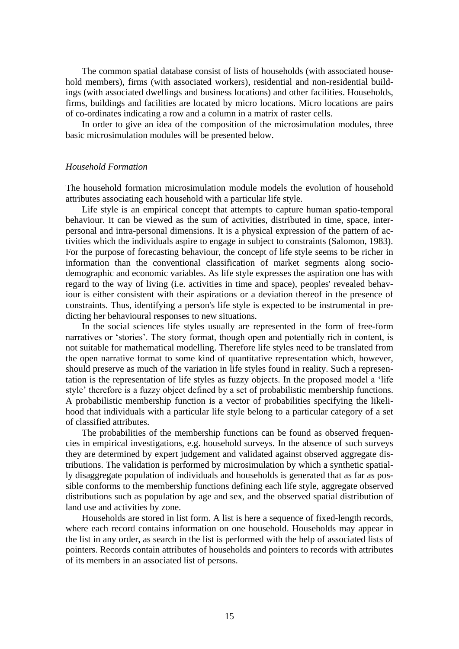The common spatial database consist of lists of households (with associated household members), firms (with associated workers), residential and non-residential buildings (with associated dwellings and business locations) and other facilities. Households, firms, buildings and facilities are located by micro locations. Micro locations are pairs of co-ordinates indicating a row and a column in a matrix of raster cells.

In order to give an idea of the composition of the microsimulation modules, three basic microsimulation modules will be presented below.

# *Household Formation*

The household formation microsimulation module models the evolution of household attributes associating each household with a particular life style.

Life style is an empirical concept that attempts to capture human spatio-temporal behaviour. It can be viewed as the sum of activities, distributed in time, space, interpersonal and intra-personal dimensions. It is a physical expression of the pattern of activities which the individuals aspire to engage in subject to constraints (Salomon, 1983). For the purpose of forecasting behaviour, the concept of life style seems to be richer in information than the conventional classification of market segments along sociodemographic and economic variables. As life style expresses the aspiration one has with regard to the way of living (i.e. activities in time and space), peoples' revealed behaviour is either consistent with their aspirations or a deviation thereof in the presence of constraints. Thus, identifying a person's life style is expected to be instrumental in predicting her behavioural responses to new situations.

In the social sciences life styles usually are represented in the form of free-form narratives or 'stories'. The story format, though open and potentially rich in content, is not suitable for mathematical modelling. Therefore life styles need to be translated from the open narrative format to some kind of quantitative representation which, however, should preserve as much of the variation in life styles found in reality. Such a representation is the representation of life styles as fuzzy objects. In the proposed model a 'life style' therefore is a fuzzy object defined by a set of probabilistic membership functions. A probabilistic membership function is a vector of probabilities specifying the likelihood that individuals with a particular life style belong to a particular category of a set of classified attributes.

The probabilities of the membership functions can be found as observed frequencies in empirical investigations, e.g. household surveys. In the absence of such surveys they are determined by expert judgement and validated against observed aggregate distributions. The validation is performed by microsimulation by which a synthetic spatially disaggregate population of individuals and households is generated that as far as possible conforms to the membership functions defining each life style, aggregate observed distributions such as population by age and sex, and the observed spatial distribution of land use and activities by zone.

Households are stored in list form. A list is here a sequence of fixed-length records, where each record contains information on one household. Households may appear in the list in any order, as search in the list is performed with the help of associated lists of pointers. Records contain attributes of households and pointers to records with attributes of its members in an associated list of persons.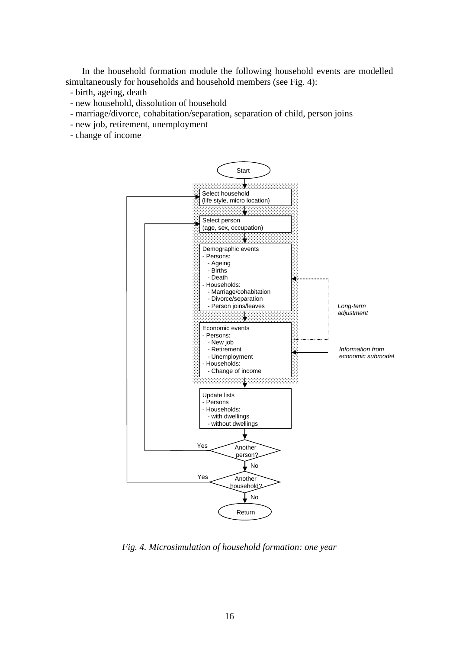In the household formation module the following household events are modelled simultaneously for households and household members (see Fig. 4):

- birth, ageing, death
- new household, dissolution of household
- marriage/divorce, cohabitation/separation, separation of child, person joins
- new job, retirement, unemployment
- change of income



*Fig. 4. Microsimulation of household formation: one year*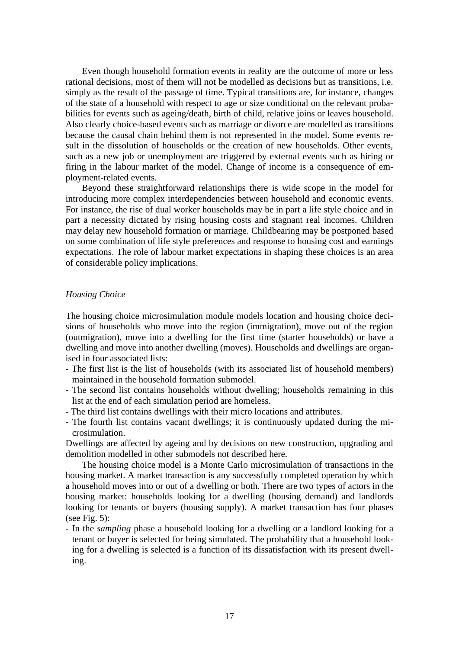Even though household formation events in reality are the outcome of more or less rational decisions, most of them will not be modelled as decisions but as transitions, i.e. simply as the result of the passage of time. Typical transitions are, for instance, changes of the state of a household with respect to age or size conditional on the relevant probabilities for events such as ageing/death, birth of child, relative joins or leaves household. Also clearly choice-based events such as marriage or divorce are modelled as transitions because the causal chain behind them is not represented in the model. Some events result in the dissolution of households or the creation of new households. Other events, such as a new job or unemployment are triggered by external events such as hiring or firing in the labour market of the model. Change of income is a consequence of employment-related events.

Beyond these straightforward relationships there is wide scope in the model for introducing more complex interdependencies between household and economic events. For instance, the rise of dual worker households may be in part a life style choice and in part a necessity dictated by rising housing costs and stagnant real incomes. Children may delay new household formation or marriage. Childbearing may be postponed based on some combination of life style preferences and response to housing cost and earnings expectations. The role of labour market expectations in shaping these choices is an area of considerable policy implications.

#### *Housing Choice*

The housing choice microsimulation module models location and housing choice decisions of households who move into the region (immigration), move out of the region (outmigration), move into a dwelling for the first time (starter households) or have a dwelling and move into another dwelling (moves). Households and dwellings are organised in four associated lists:

- The first list is the list of households (with its associated list of household members) maintained in the household formation submodel.
- The second list contains households without dwelling; households remaining in this list at the end of each simulation period are homeless.
- The third list contains dwellings with their micro locations and attributes.
- The fourth list contains vacant dwellings; it is continuously updated during the microsimulation.

Dwellings are affected by ageing and by decisions on new construction, upgrading and demolition modelled in other submodels not described here.

The housing choice model is a Monte Carlo microsimulation of transactions in the housing market. A market transaction is any successfully completed operation by which a household moves into or out of a dwelling or both. There are two types of actors in the housing market: households looking for a dwelling (housing demand) and landlords looking for tenants or buyers (housing supply). A market transaction has four phases (see Fig.  $5$ ):

- In the *sampling* phase a household looking for a dwelling or a landlord looking for a tenant or buyer is selected for being simulated. The probability that a household looking for a dwelling is selected is a function of its dissatisfaction with its present dwelling.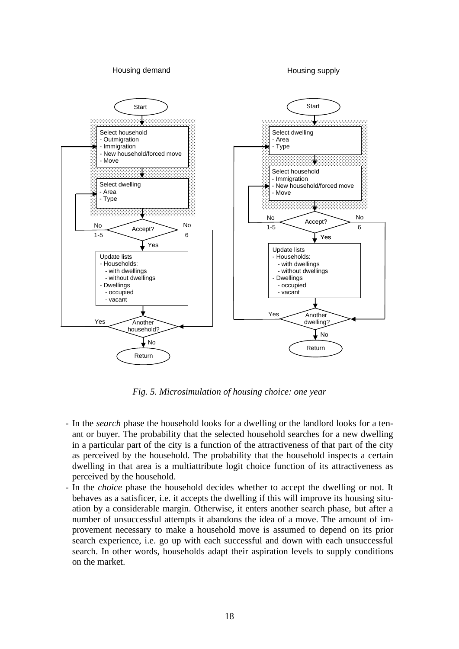

*Fig. 5. Microsimulation of housing choice: one year*

- In the *search* phase the household looks for a dwelling or the landlord looks for a tenant or buyer. The probability that the selected household searches for a new dwelling in a particular part of the city is a function of the attractiveness of that part of the city as perceived by the household. The probability that the household inspects a certain dwelling in that area is a multiattribute logit choice function of its attractiveness as perceived by the household.
- In the *choice* phase the household decides whether to accept the dwelling or not. It behaves as a satisficer, i.e. it accepts the dwelling if this will improve its housing situation by a considerable margin. Otherwise, it enters another search phase, but after a number of unsuccessful attempts it abandons the idea of a move. The amount of improvement necessary to make a household move is assumed to depend on its prior search experience, i.e. go up with each successful and down with each unsuccessful search. In other words, households adapt their aspiration levels to supply conditions on the market.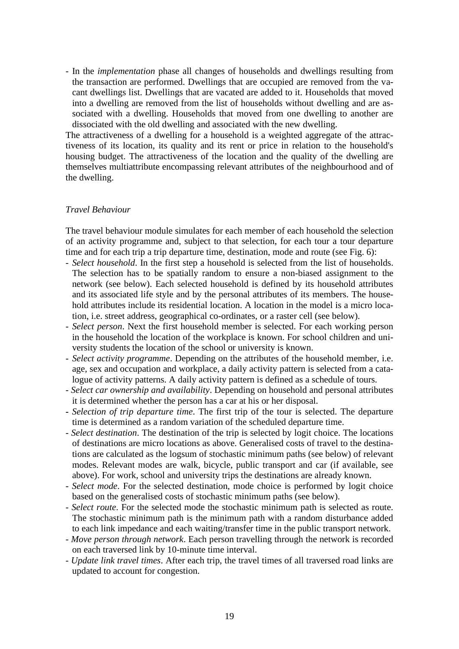- In the *implementation* phase all changes of households and dwellings resulting from the transaction are performed. Dwellings that are occupied are removed from the vacant dwellings list. Dwellings that are vacated are added to it. Households that moved into a dwelling are removed from the list of households without dwelling and are associated with a dwelling. Households that moved from one dwelling to another are dissociated with the old dwelling and associated with the new dwelling.

The attractiveness of a dwelling for a household is a weighted aggregate of the attractiveness of its location, its quality and its rent or price in relation to the household's housing budget. The attractiveness of the location and the quality of the dwelling are themselves multiattribute encompassing relevant attributes of the neighbourhood and of the dwelling.

# *Travel Behaviour*

The travel behaviour module simulates for each member of each household the selection of an activity programme and, subject to that selection, for each tour a tour departure time and for each trip a trip departure time, destination, mode and route (see Fig. 6):

- *Select household*. In the first step a household is selected from the list of households. The selection has to be spatially random to ensure a non-biased assignment to the network (see below). Each selected household is defined by its household attributes and its associated life style and by the personal attributes of its members. The household attributes include its residential location. A location in the model is a micro location, i.e. street address, geographical co-ordinates, or a raster cell (see below).
- *Select person*. Next the first household member is selected. For each working person in the household the location of the workplace is known. For school children and university students the location of the school or university is known.
- *Select activity programme*. Depending on the attributes of the household member, i.e. age, sex and occupation and workplace, a daily activity pattern is selected from a catalogue of activity patterns. A daily activity pattern is defined as a schedule of tours.
- *Select car ownership and availability*. Depending on household and personal attributes it is determined whether the person has a car at his or her disposal.
- **-** *Selection of trip departure time*. The first trip of the tour is selected. The departure time is determined as a random variation of the scheduled departure time.
- *Select destination*. The destination of the trip is selected by logit choice. The locations of destinations are micro locations as above. Generalised costs of travel to the destinations are calculated as the logsum of stochastic minimum paths (see below) of relevant modes. Relevant modes are walk, bicycle, public transport and car (if available, see above). For work, school and university trips the destinations are already known.
- *Select mode*. For the selected destination, mode choice is performed by logit choice based on the generalised costs of stochastic minimum paths (see below).
- *Select route*. For the selected mode the stochastic minimum path is selected as route. The stochastic minimum path is the minimum path with a random disturbance added to each link impedance and each waiting/transfer time in the public transport network.
- *Move person through network*. Each person travelling through the network is recorded on each traversed link by 10-minute time interval.
- *Update link travel times*. After each trip, the travel times of all traversed road links are updated to account for congestion.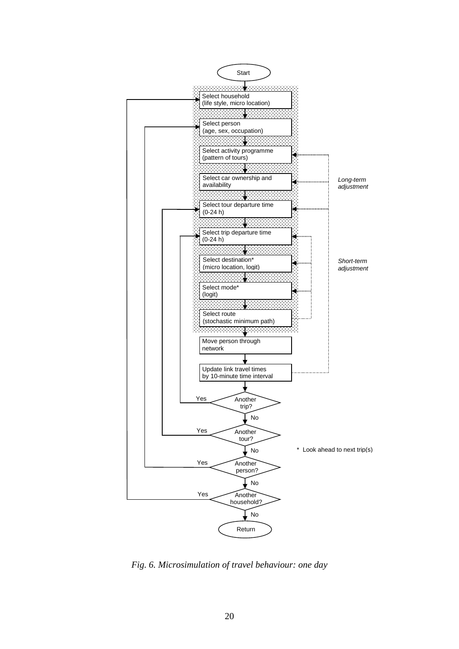

*Fig. 6. Microsimulation of travel behaviour: one day*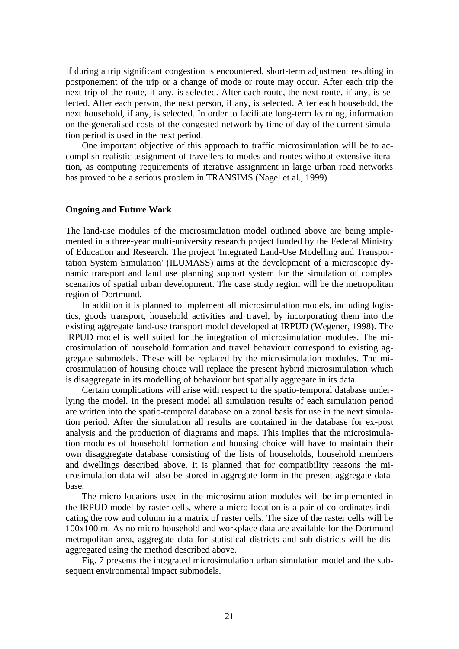If during a trip significant congestion is encountered, short-term adjustment resulting in postponement of the trip or a change of mode or route may occur. After each trip the next trip of the route, if any, is selected. After each route, the next route, if any, is selected. After each person, the next person, if any, is selected. After each household, the next household, if any, is selected. In order to facilitate long-term learning, information on the generalised costs of the congested network by time of day of the current simulation period is used in the next period.

One important objective of this approach to traffic microsimulation will be to accomplish realistic assignment of travellers to modes and routes without extensive iteration, as computing requirements of iterative assignment in large urban road networks has proved to be a serious problem in TRANSIMS (Nagel et al., 1999).

#### **Ongoing and Future Work**

The land-use modules of the microsimulation model outlined above are being implemented in a three-year multi-university research project funded by the Federal Ministry of Education and Research. The project 'Integrated Land-Use Modelling and Transportation System Simulation' (ILUMASS) aims at the development of a microscopic dynamic transport and land use planning support system for the simulation of complex scenarios of spatial urban development. The case study region will be the metropolitan region of Dortmund.

In addition it is planned to implement all microsimulation models, including logistics, goods transport, household activities and travel, by incorporating them into the existing aggregate land-use transport model developed at IRPUD (Wegener, 1998). The IRPUD model is well suited for the integration of microsimulation modules. The microsimulation of household formation and travel behaviour correspond to existing aggregate submodels. These will be replaced by the microsimulation modules. The microsimulation of housing choice will replace the present hybrid microsimulation which is disaggregate in its modelling of behaviour but spatially aggregate in its data.

Certain complications will arise with respect to the spatio-temporal database underlying the model. In the present model all simulation results of each simulation period are written into the spatio-temporal database on a zonal basis for use in the next simulation period. After the simulation all results are contained in the database for ex-post analysis and the production of diagrams and maps. This implies that the microsimulation modules of household formation and housing choice will have to maintain their own disaggregate database consisting of the lists of households, household members and dwellings described above. It is planned that for compatibility reasons the microsimulation data will also be stored in aggregate form in the present aggregate database.

The micro locations used in the microsimulation modules will be implemented in the IRPUD model by raster cells, where a micro location is a pair of co-ordinates indicating the row and column in a matrix of raster cells. The size of the raster cells will be 100x100 m. As no micro household and workplace data are available for the Dortmund metropolitan area, aggregate data for statistical districts and sub-districts will be disaggregated using the method described above.

Fig. 7 presents the integrated microsimulation urban simulation model and the subsequent environmental impact submodels.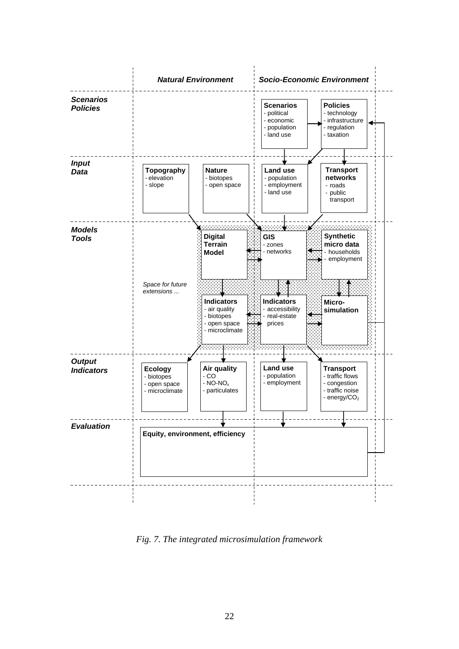

*Fig. 7. The integrated microsimulation framework*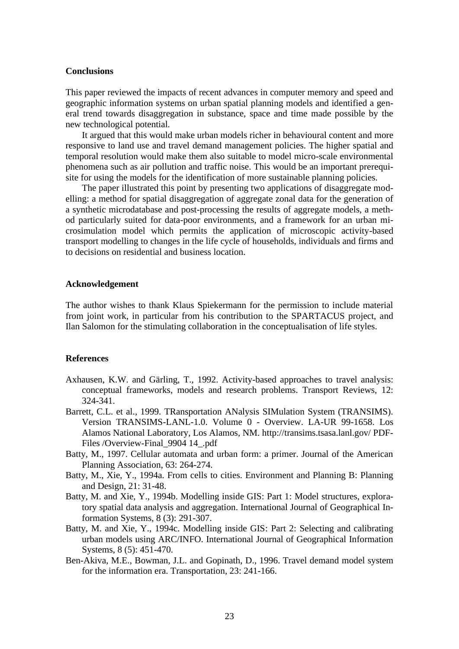## **Conclusions**

This paper reviewed the impacts of recent advances in computer memory and speed and geographic information systems on urban spatial planning models and identified a general trend towards disaggregation in substance, space and time made possible by the new technological potential.

It argued that this would make urban models richer in behavioural content and more responsive to land use and travel demand management policies. The higher spatial and temporal resolution would make them also suitable to model micro-scale environmental phenomena such as air pollution and traffic noise. This would be an important prerequisite for using the models for the identification of more sustainable planning policies.

The paper illustrated this point by presenting two applications of disaggregate modelling: a method for spatial disaggregation of aggregate zonal data for the generation of a synthetic microdatabase and post-processing the results of aggregate models, a method particularly suited for data-poor environments, and a framework for an urban microsimulation model which permits the application of microscopic activity-based transport modelling to changes in the life cycle of households, individuals and firms and to decisions on residential and business location.

# **Acknowledgement**

The author wishes to thank Klaus Spiekermann for the permission to include material from joint work, in particular from his contribution to the SPARTACUS project, and Ilan Salomon for the stimulating collaboration in the conceptualisation of life styles.

# **References**

- Axhausen, K.W. and Gärling, T., 1992. Activity-based approaches to travel analysis: conceptual frameworks, models and research problems. Transport Reviews, 12: 324-341.
- Barrett, C.L. et al., 1999. TRansportation ANalysis SIMulation System (TRANSIMS). Version TRANSIMS-LANL-1.0. Volume 0 - Overview. LA-UR 99-1658. Los Alamos National Laboratory, Los Alamos, NM. http://transims.tsasa.lanl.gov/ PDF-Files /Overview-Final 9904 14 .pdf
- Batty, M., 1997. Cellular automata and urban form: a primer. Journal of the American Planning Association, 63: 264-274.
- Batty, M., Xie, Y., 1994a. From cells to cities. Environment and Planning B: Planning and Design, 21: 31-48.
- Batty, M. and Xie, Y., 1994b. Modelling inside GIS: Part 1: Model structures, exploratory spatial data analysis and aggregation. International Journal of Geographical Information Systems, 8 (3): 291-307.
- Batty, M. and Xie, Y., 1994c. Modelling inside GIS: Part 2: Selecting and calibrating urban models using ARC/INFO. International Journal of Geographical Information Systems, 8 (5): 451-470.
- Ben-Akiva, M.E., Bowman, J.L. and Gopinath, D., 1996. Travel demand model system for the information era. Transportation, 23: 241-166.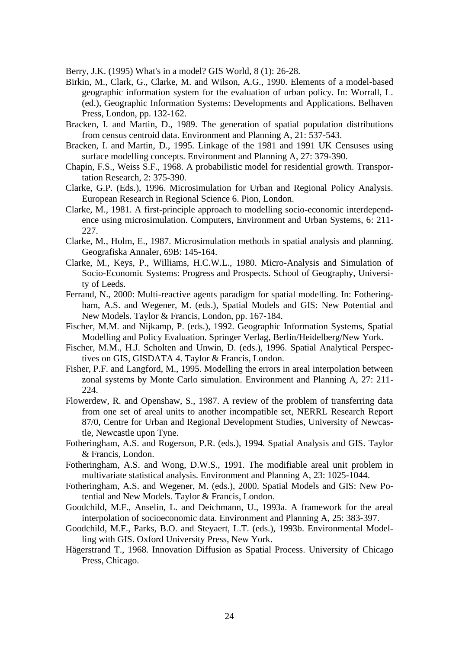Berry, J.K. (1995) What's in a model? GIS World, 8 (1): 26-28.

- Birkin, M., Clark, G., Clarke, M. and Wilson, A.G., 1990. Elements of a model-based geographic information system for the evaluation of urban policy. In: Worrall, L. (ed.), Geographic Information Systems: Developments and Applications. Belhaven Press, London, pp. 132-162.
- Bracken, I. and Martin, D., 1989. The generation of spatial population distributions from census centroid data. Environment and Planning A, 21: 537-543.
- Bracken, I. and Martin, D., 1995. Linkage of the 1981 and 1991 UK Censuses using surface modelling concepts. Environment and Planning A, 27: 379-390.
- Chapin, F.S., Weiss S.F., 1968. A probabilistic model for residential growth. Transportation Research, 2: 375-390.
- Clarke, G.P. (Eds.), 1996. Microsimulation for Urban and Regional Policy Analysis. European Research in Regional Science 6. Pion, London.
- Clarke, M., 1981. A first-principle approach to modelling socio-economic interdependence using microsimulation. Computers, Environment and Urban Systems, 6: 211- 227.
- Clarke, M., Holm, E., 1987. Microsimulation methods in spatial analysis and planning. Geografiska Annaler, 69B: 145-164.
- Clarke, M., Keys, P., Williams, H.C.W.L., 1980. Micro-Analysis and Simulation of Socio-Economic Systems: Progress and Prospects. School of Geography, University of Leeds.
- Ferrand, N., 2000: Multi-reactive agents paradigm for spatial modelling. In: Fotheringham, A.S. and Wegener, M. (eds.), Spatial Models and GIS: New Potential and New Models. Taylor & Francis, London, pp. 167-184.
- Fischer, M.M. and Nijkamp, P. (eds.), 1992. Geographic Information Systems, Spatial Modelling and Policy Evaluation. Springer Verlag, Berlin/Heidelberg/New York.
- Fischer, M.M., H.J. Scholten and Unwin, D. (eds.), 1996. Spatial Analytical Perspectives on GIS, GISDATA 4. Taylor & Francis, London.
- Fisher, P.F. and Langford, M., 1995. Modelling the errors in areal interpolation between zonal systems by Monte Carlo simulation. Environment and Planning A, 27: 211- 224.
- Flowerdew, R. and Openshaw, S., 1987. A review of the problem of transferring data from one set of areal units to another incompatible set, NERRL Research Report 87/0, Centre for Urban and Regional Development Studies, University of Newcastle, Newcastle upon Tyne.
- Fotheringham, A.S. and Rogerson, P.R. (eds.), 1994. Spatial Analysis and GIS. Taylor & Francis, London.
- Fotheringham, A.S. and Wong, D.W.S., 1991. The modifiable areal unit problem in multivariate statistical analysis. Environment and Planning A, 23: 1025-1044.
- Fotheringham, A.S. and Wegener, M. (eds.), 2000. Spatial Models and GIS: New Potential and New Models. Taylor & Francis, London.
- Goodchild, M.F., Anselin, L. and Deichmann, U., 1993a. A framework for the areal interpolation of socioeconomic data. Environment and Planning A, 25: 383-397.
- Goodchild, M.F., Parks, B.O. and Steyaert, L.T. (eds.), 1993b. Environmental Modelling with GIS. Oxford University Press, New York.
- Hägerstrand T., 1968. Innovation Diffusion as Spatial Process. University of Chicago Press, Chicago.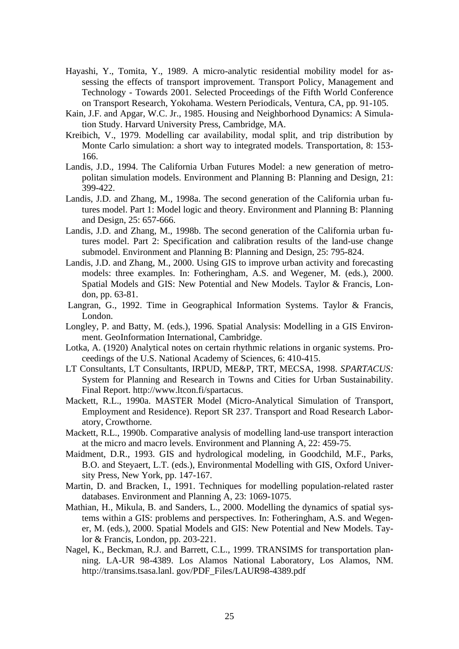- Hayashi, Y., Tomita, Y., 1989. A micro-analytic residential mobility model for assessing the effects of transport improvement. Transport Policy, Management and Technology - Towards 2001. Selected Proceedings of the Fifth World Conference on Transport Research, Yokohama. Western Periodicals, Ventura, CA, pp. 91-105.
- Kain, J.F. and Apgar, W.C. Jr., 1985. Housing and Neighborhood Dynamics: A Simulation Study. Harvard University Press, Cambridge, MA.
- Kreibich, V., 1979. Modelling car availability, modal split, and trip distribution by Monte Carlo simulation: a short way to integrated models. Transportation, 8: 153- 166.
- Landis, J.D., 1994. The California Urban Futures Model: a new generation of metropolitan simulation models. Environment and Planning B: Planning and Design, 21: 399-422.
- Landis, J.D. and Zhang, M., 1998a. The second generation of the California urban futures model. Part 1: Model logic and theory. Environment and Planning B: Planning and Design, 25: 657-666.
- Landis, J.D. and Zhang, M., 1998b. The second generation of the California urban futures model. Part 2: Specification and calibration results of the land-use change submodel. Environment and Planning B: Planning and Design, 25: 795-824.
- Landis, J.D. and Zhang, M., 2000. Using GIS to improve urban activity and forecasting models: three examples. In: Fotheringham, A.S. and Wegener, M. (eds.), 2000. Spatial Models and GIS: New Potential and New Models. Taylor & Francis, London, pp. 63-81.
- Langran, G., 1992. Time in Geographical Information Systems. Taylor & Francis, London.
- Longley, P. and Batty, M. (eds.), 1996. Spatial Analysis: Modelling in a GIS Environment. GeoInformation International, Cambridge.
- Lotka, A. (1920) Analytical notes on certain rhythmic relations in organic systems. Proceedings of the U.S. National Academy of Sciences, 6: 410-415.
- LT Consultants, LT Consultants, IRPUD, ME&P, TRT, MECSA, 1998. *SPARTACUS:*  System for Planning and Research in Towns and Cities for Urban Sustainability. Final Report. http://www.ltcon.fi/spartacus.
- Mackett, R.L., 1990a. MASTER Model (Micro-Analytical Simulation of Transport, Employment and Residence). Report SR 237. Transport and Road Research Laboratory, Crowthorne.
- Mackett, R.L., 1990b. Comparative analysis of modelling land-use transport interaction at the micro and macro levels. Environment and Planning A, 22: 459-75.
- Maidment, D.R., 1993. GIS and hydrological modeling, in Goodchild, M.F., Parks, B.O. and Steyaert, L.T. (eds.), Environmental Modelling with GIS, Oxford University Press, New York, pp. 147-167.
- Martin, D. and Bracken, I., 1991. Techniques for modelling population-related raster databases. Environment and Planning A, 23: 1069-1075.
- Mathian, H., Mikula, B. and Sanders, L., 2000. Modelling the dynamics of spatial systems within a GIS: problems and perspectives. In: Fotheringham, A.S. and Wegener, M. (eds.), 2000. Spatial Models and GIS: New Potential and New Models. Taylor & Francis, London, pp. 203-221.
- Nagel, K., Beckman, R.J. and Barrett, C.L., 1999. TRANSIMS for transportation planning. LA-UR 98-4389. Los Alamos National Laboratory, Los Alamos, NM. http://transims.tsasa.lanl. gov/PDF\_Files/LAUR98-4389.pdf